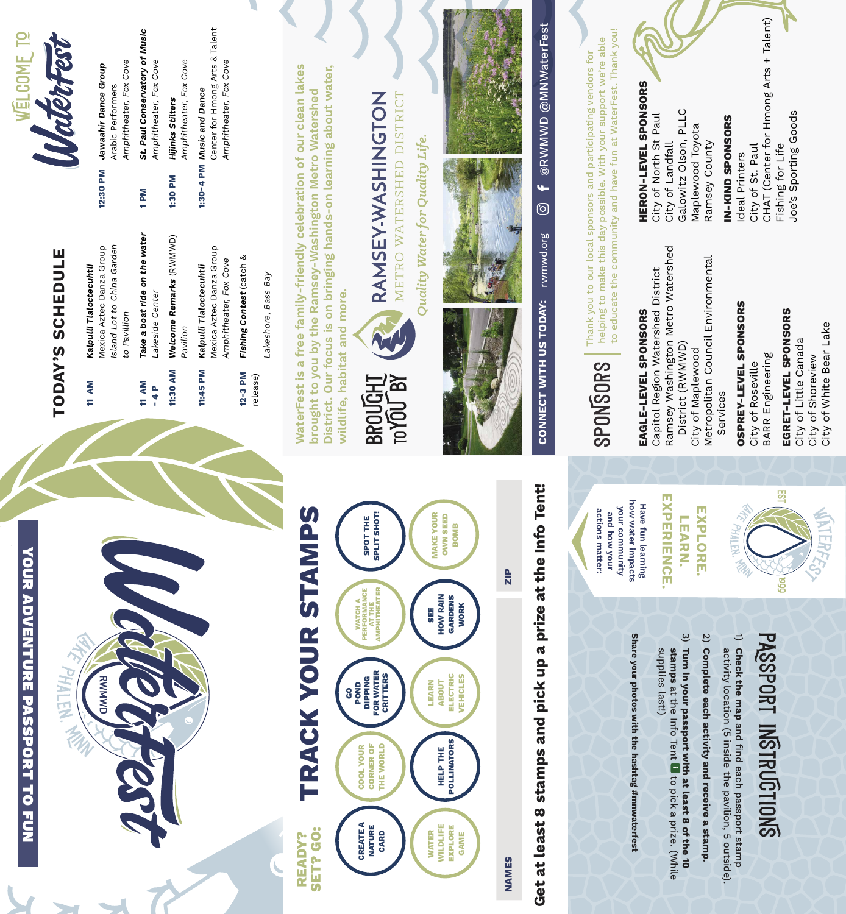# **YOUR ADVENTURE PASSPORT TO FUN** YOUR ADVENTURE PASSPORT TO FUN



# **TRACK YOUR STAMPS** TRACK YOUR STAMPS **READY? SET? GO:**



# Get at least 8 stamps and pick up a prize at the Info Tent! **Get at least 8 stamps and pick up a prize at the Info Tent!**

## PASSPORT INSTRUCTIONS PASSPORT INSTRUCTIONS

- 1) Check the map and find each passport stamp activity location (5 inside the pavilion, 5 outside). activity location (5 inside the pavilion, 5 outside). **Check the map**and find each passport stamp
- 2) Complete each activity and receive a stamp. **Complete each activity and receive a stamp.**
- 3) Turn in your passport with at least 8 of the 10 supplies last!) supplies last!) **stamps Turn in your passport with at least 8 of the 10**  at the Info Tent to pick a prize. (While

Share your photos with the hashtag #mnwaterfest **Share your photos with the hashtag #mnwaterfest**

## TODAY'S SCHEDULE **TODAY'S SCHEDULE**

| Kalpulli Tlaloctecuhtli | Mexica Aztec Danza Group | sland Lot to China Garden | to Pavillion | Take a boat ride on the wate |
|-------------------------|--------------------------|---------------------------|--------------|------------------------------|
| <b>11 AM</b>            |                          |                           |              | <b>11 AM</b>                 |
|                         |                          |                           |              |                              |

**11 AM Take a boat ride on the water** Welcome Remarks (RWMWD) **11:30 AM Welcome Remarks** (RWMWD) Lakeside Center **- 4 P** Lakeside Center Pavilion 11:30 AM 11 AM  $-4P$ 

Mexica Aztec Danza Group Mexica Aztec Danza Group Amphitheater, Fox Cove Amphitheater, Fox Cove Kalpulli Tlaloctecuhtli **11:45 PM Kalpulli Tlaloctecuhtli** 11:45 PM

**12-3 PM Fishing Contest** (catch & Fishing Contest (catch & 12-3 PM

WELCOME TO

## Amphitheater, Fox Cove Amphitheater, Fox Cove Jawaahir Dance Group **12:30 PM Jawaahir Dance Group** Arabic Performers Arabic Performers 12:30 PM

St. Paul Conservatory of Music **1 PM St. Paul Conservatory of Music** Amphitheater, Fox Cove Amphitheater, Fox Cove Hijinks Stilters **1:30 PM Hijinks Stilters** 1:30 PM

1 PM

L

Center for Hmong Arts & Talent Center for Hmong Arts & Talent Amphitheater, Fox Cove Amphitheater, Fox Cove 1:30-4 PM Music and Dance **1:30-4 PM Music and Dance**

Amphitheater, Fox Cove

Amphitheater, Fox Cove

Lakeshore, Bass Bay Lakeshore, Bass Bay release)

**WaterFest is a free family-friendly celebration of our clean lakes**  MaterFest is a free family-friendly celebration of our clean lakes **District. Our focus is on bringing hands-on learning about water,**  District. Our focus is on bringing hands-on learning about water, brought to you by the Ramsey-Washington Metro Watershed **brought to you by the Ramsey-Washington Metro Watershed wildlife, habitat and more.** wildlife, habitat and more.



METRO WATERSHED DISTRICT RAMSEY-WASHINGTON RE

Quality Water for Quality Life. *Quality Water for Quality Life.*





f @RWMWD @MNWaterFest **CONNECT WITH US TODAY:** rwmwd.org @RWMWD @MNWaterFest ම **CONNECT WITH US TODAY:** rwmwd.org



**actions matter:**

actions matter:

helping to make this day possible. With your support we're able<br>to educate the community and have fun at WaterFest. Thank you! to educate the community and have fun at WaterFest. Thank you! helping to make this day possible. With your support we're able  ${\sf SPONSORs}$  Thank you to our local sponsors and participating vendors for Thank you to our local sponsors and participating vendors for

## **HERON-LEVEL SPONSORS HERON-LEVEL SPONSORS**

Galowitz Olson, PLLC City of North St Paul Galowitz Olson, PLLC City of North St Paul Maplewood Toyota Maplewood Toyota Ramsey County City of Landfall Ramsey County City of Landfall

## IN-KIND SPONSORS **IN-KIND SPONSORS**

CHAT (Center for Hmong Arts + Talent) CHAT (Center for Hmong Arts + Talent) Joe's Sporting Goods Joe's Sporting Goods City of St. Paul Fishing for Life City of St. Paul Fishing for Life **Ideal Printers** Ideal Printers



## EXPLORE **EXPLORE. LEARS**. **LEARN.**

**EXPERIENCE.**

**EXPERIENCE.** 

how water impacts **how water impacts** Have fun learning your community **Have fun learning your community** and how your **and how your**

**EAGLE-LEVEL SPONSORS**

EAGLE-LEVEL SPONSORS

Capitol Region Watershed District Ramsey Washington Metro Watershed

Capitol Region Watershed District

Ramsey Washington Metro Watershed

 District (RWMWD) City of Maplewood

District (RWMWD) City of Maplewood Metropolitan Council Environmental

Metropolitan Council Environmental

Services

Services

**OSPREY-LEVEL SPONSORS** 

**OSPREY-LEVEL SPONSORS** 

City of Roseville BARR Engineering

City of Roseville

BARR Engineering

**EGRET-LEVEL SPONSORS** City of Little Canada City of Shoreview City of White Bear Lake

City of Little Canada

City of Shoreview

City of White Bear Lake

EGRET-LEVEL SPONSORS